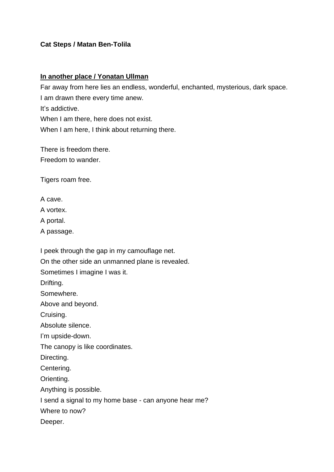## **Cat Steps / Matan Ben-Tolila**

## **In another place / Yonatan Ullman**

Far away from here lies an endless, wonderful, enchanted, mysterious, dark space. I am drawn there every time anew. It's addictive. When I am there, here does not exist. When I am here, I think about returning there.

There is freedom there. Freedom to wander.

Tigers roam free.

A cave.

A vortex.

A portal.

A passage.

I peek through the gap in my camouflage net. On the other side an unmanned plane is revealed. Sometimes I imagine I was it. Drifting. Somewhere. Above and beyond. Cruising. Absolute silence. I'm upside-down. The canopy is like coordinates. Directing. Centering. Orienting. Anything is possible. I send a signal to my home base - can anyone hear me? Where to now? Deeper.